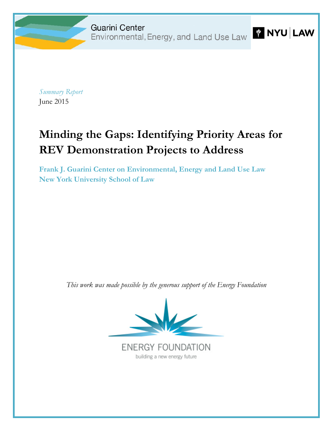*Summary Report* June 2015

# **Minding the Gaps: Identifying Priority Areas for REV Demonstration Projects to Address**

**[Frank J. Guarini Center on Environmental, Energy and Land Use Law](http://guarinicenter.org/) New York University School of Law**

*This work was made possible by the generous support of the Energy Foundation*



**ENERGY FOUNDATION** building a new energy future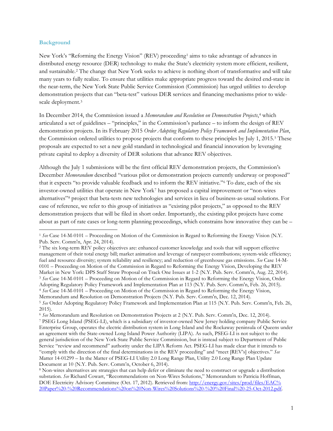#### **Background**

 $\overline{a}$ 

New York's "Reforming the Energy Vision" (REV) proceeding<sup>[1](#page-1-0)</sup> aims to take advantage of advances in distributed energy resource (DER) technology to make the State's electricity system more efficient, resilient, and sustainable.[2](#page-1-1) The change that New York seeks to achieve is nothing short of transformative and will take many years to fully realize. To ensure that utilities make appropriate progress toward the desired end-state in the near-term, the New York State Public Service Commission (Commission) has urged utilities to develop demonstration projects that can "beta-test" various DER services and financing mechanisms prior to widescale deployment.[3](#page-1-2)

In December 2014, the Commission issued a *Memorandum and Resolution on Demonstration Projects*,[4](#page-1-3) which articulated a set of guidelines – "principles," in the Commission's parlance – to inform the design of REV demonstration projects. In its February 2015 *Order Adopting Regulatory Policy Framework and Implementation Plan*, the Commission ordered utilities to propose projects that conform to these principles by July 1, 201[5](#page-1-4).<sup>5</sup> These proposals are expected to set a new gold standard in technological and financial innovation by leveraging private capital to deploy a diversity of DER solutions that advance REV objectives.

Although the July 1 submissions will be the first official REV demonstration projects, the Commission's December *Memorandum* described "various pilot or demonstration projects currently underway or proposed" that it expects "to provide valuable feedback and to inform the REV initiative."[6](#page-1-5) To date, each of the six investor-owned utilities that operate in New York[7](#page-1-6) has proposed a capital improvement or "non-wires alternatives["8](#page-1-7) project that beta-tests new technologies and services in lieu of business-as-usual solutions. For ease of reference, we refer to this group of initiatives as "existing pilot projects," as opposed to the REV demonstration projects that will be filed in short order. Importantly, the existing pilot projects have come about as part of rate cases or long-term planning proceedings, which constrains how innovative they can be –

<span id="page-1-0"></span><sup>1</sup> *See* Case 14-M-0101 – Proceeding on Motion of the Commission in Regard to Reforming the Energy Vision (N.Y. Pub. Serv. Comm'n, Apr. 24, 2014).

<span id="page-1-2"></span><span id="page-1-1"></span><sup>2</sup> The six long-term REV policy objectives are: enhanced customer knowledge and tools that will support effective management of their total energy bill; market animation and leverage of ratepayer contributions; system-wide efficiency; fuel and resource diversity; system reliability and resiliency; and reduction of greenhouse gas emissions. *See* Case 14-M-0101 – Proceeding on Motion of the Commission in Regard to Reforming the Energy Vision, Developing the REV Market in New York: DPS Staff Straw Proposal on Track One Issues at 1-2 (N.Y. Pub. Serv. Comm'n, Aug. 22, 2014). <sup>3</sup> *See* Case 14-M-0101 – Proceeding on Motion of the Commission in Regard to Reforming the Energy Vision, Order Adopting Regulatory Policy Framework and Implementation Plan at 113 (N.Y. Pub. Serv. Comm'n, Feb. 26, 2015). <sup>4</sup> *See* Case 14-M-0101 – Proceeding on Motion of the Commission in Regard to Reforming the Energy Vision, Memorandum and Resolution on Demonstration Projects (N.Y. Pub. Serv. Comm'n, Dec. 12, 2014). <sup>5</sup> *See* Order Adopting Regulatory Policy Framework and Implementation Plan at 115 (N.Y. Pub. Serv. Comm'n, Feb. 26, 2015).

<span id="page-1-6"></span><span id="page-1-5"></span><span id="page-1-4"></span><span id="page-1-3"></span><sup>6</sup> *See* Memorandum and Resolution on Demonstration Projects at 2 (N.Y. Pub. Serv. Comm'n, Dec. 12, 2014). <sup>7</sup> PSEG Long Island (PSEG-LI), which is a subsidiary of investor-owned New Jersey holding company Public Service Enterprise Group, operates the electric distribution system in Long Island and the Rockaway peninsula of Queens under

an agreement with the State-owned Long Island Power Authority (LIPA). As such, PSEG-LI is not subject to the general jurisdiction of the New York State Public Service Commission, but is instead subject to Department of Public Service "review and recommend" authority under the LIPA Reform Act. PSEG-LI has made clear that it intends to "comply with the direction of the final determinations in the REV proceeding" and "meet [REV's] objectives." *See* Matter 14-01299 – In the Matter of PSEG-LI Utility 2.0 Long Range Plan, Utility 2.0 Long Range Plan Update Document at 10 (N.Y. Pub. Serv. Comm'n, October 6, 2014).

<span id="page-1-7"></span><sup>8</sup> Non-wires alternatives are strategies that can help defer or eliminate the need to construct or upgrade a distribution substation. *See* Richard Cowart, "Recommendations on Non-Wires Solutions," Memorandum to Patricia Hoffman, DOE Electricity Advisory Committee (Oct. 17, 2012). Retrieved from: [http://energy.gov/sites/prod/files/EAC%](http://energy.gov/sites/prod/files/EAC%20Paper%20-%20Recommendations%20on%20Non-Wires%20Solutions%20-%20%20Final%20-25-Oct-2012.pdf) [20Paper%20-%20Recommendations%20on%20Non-Wires%20Solutions%20-%20%20Final%20-25-Oct-2012.pdf.](http://energy.gov/sites/prod/files/EAC%20Paper%20-%20Recommendations%20on%20Non-Wires%20Solutions%20-%20%20Final%20-25-Oct-2012.pdf)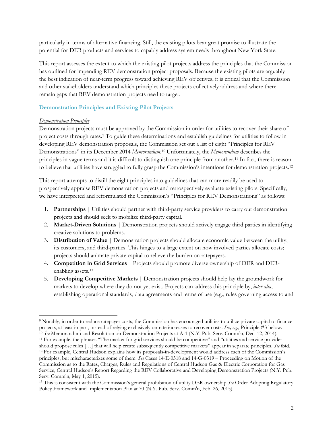particularly in terms of alternative financing. Still, the existing pilots bear great promise to illustrate the potential for DER products and services to capably address system needs throughout New York State.

This report assesses the extent to which the existing pilot projects address the principles that the Commission has outlined for impending REV demonstration project proposals. Because the existing pilots are arguably the best indication of near-term progress toward achieving REV objectives, it is critical that the Commission and other stakeholders understand which principles these projects collectively address and where there remain gaps that REV demonstration projects need to target.

# **Demonstration Principles and Existing Pilot Projects**

# *Demonstration Principles*

Demonstration projects must be approved by the Commission in order for utilities to recover their share of project costs through rates.[9](#page-2-0) To guide these determinations and establish guidelines for utilities to follow in developing REV demonstration proposals, the Commission set out a list of eight "Principles for REV Demonstrations" in its December 2014 *Memorandum*[.10](#page-2-1) Unfortunately, the *Memorandum* describes the principles in vague terms and it is difficult to distinguish one principle from another.[11](#page-2-2) In fact, there is reason to believe that utilities have struggled to fully grasp the Commission's intentions for demonstration projects.[12](#page-2-3)

This report attempts to distill the eight principles into guidelines that can more readily be used to prospectively appraise REV demonstration projects and retrospectively evaluate existing pilots. Specifically, we have interpreted and reformulated the Commission's "Principles for REV Demonstrations" as follows:

- 1. **Partnerships** | Utilities should partner with third-party service providers to carry out demonstration projects and should seek to mobilize third-party capital.
- 2. **Market-Driven Solutions** | Demonstration projects should actively engage third parties in identifying creative solutions to problems.
- 3. **Distribution of Value** | Demonstration projects should allocate economic value between the utility, its customers, and third-parties. This hinges to a large extent on how involved parties allocate costs; projects should animate private capital to relieve the burden on ratepayers.
- 4. **Competition in Grid Services** | Projects should promote diverse ownership of DER and DERenabling assets.[13](#page-2-4)
- 5. **Developing Competitive Markets** | Demonstration projects should help lay the groundwork for markets to develop where they do not yet exist. Projects can address this principle by, *inter alia*, establishing operational standards, data agreements and terms of use (e.g., rules governing access to and

<span id="page-2-0"></span><sup>9</sup> Notably, in order to reduce ratepayer costs, the Commission has encouraged utilities to utilize private capital to finance projects, at least in part, instead of relying exclusively on rate increases to recover costs. *See, e.g.,* Principle #3 below. <sup>10</sup> *See* Memorandum and Resolution on Demonstration Projects at A-1 (N.Y. Pub. Serv. Comm'n, Dec. 12, 2014).  $\overline{a}$ 

<span id="page-2-3"></span><span id="page-2-2"></span><span id="page-2-1"></span><sup>11</sup> For example, the phrases "The market for grid services should be competitive" and "utilities and service provider should propose rules […] that will help create subsequently competitive markets" appear in separate principles. *See* ibid. <sup>12</sup> For example, Central Hudson explains how its proposals-in-development would address each of the Commission's principles, but mischaracterizes some of them. *See* Cases 14-E-0318 and 14-G-0319 – Proceeding on Motion of the Commission as to the Rates, Charges, Rules and Regulations of Central Hudson Gas & Electric Corporation for Gas Service, Central Hudson's Report Regarding the REV Collaborative and Developing Demonstration Projects (N.Y. Pub. Serv. Comm'n, May 1, 2015).

<span id="page-2-4"></span><sup>13</sup> This is consistent with the Commission's general prohibition of utility DER ownership *See* Order Adopting Regulatory Policy Framework and Implementation Plan at 70 (N.Y. Pub. Serv. Comm'n, Feb. 26, 2015).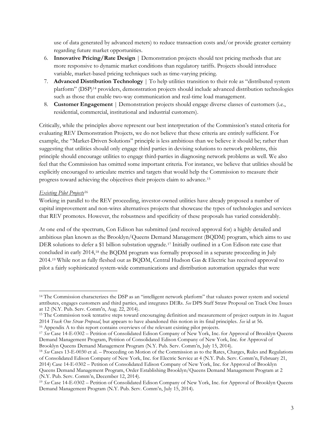use of data generated by advanced meters) to reduce transaction costs and/or provide greater certainty regarding future market opportunities.

- 6. **Innovative Pricing/Rate Design** | Demonstration projects should test pricing methods that are more responsive to dynamic market conditions than regulatory tariffs. Projects should introduce variable, market-based pricing techniques such as time-varying pricing.
- 7. **Advanced Distribution Technology** | To help utilities transition to their role as "distributed system platform" (DSP)[14](#page-3-0) providers, demonstration projects should include advanced distribution technologies such as those that enable two-way communication and real-time load management.
- 8. **Customer Engagement** | Demonstration projects should engage diverse classes of customers (i.e., residential, commercial, institutional and industrial customers).

Critically, while the principles above represent our best interpretation of the Commission's stated criteria for evaluating REV Demonstration Projects, we do not believe that these criteria are entirely sufficient. For example, the "Market-Driven Solutions" principle is less ambitious than we believe it should be; rather than suggesting that utilities should only engage third parties in devising solutions to network problems, this principle should encourage utilities to engage third-parties in diagnosing network problems as well. We also feel that the Commission has omitted some important criteria. For instance, we believe that utilities should be explicitly encouraged to articulate metrics and targets that would help the Commission to measure their progress toward achieving the objectives their projects claim to advance.[15](#page-3-1)

# *Existing Pilot Projects*[16](#page-3-2)

Working in parallel to the REV proceeding, investor-owned utilities have already proposed a number of capital improvement and non-wires alternatives projects that showcase the types of technologies and services that REV promotes. However, the robustness and specificity of these proposals has varied considerably.

At one end of the spectrum, Con Edison has submitted (and received approval for) a highly detailed and ambitious plan known as the Brooklyn/Queens Demand Management (BQDM) program, which aims to use DER solutions to defer a \$1 billion substation upgrade.<sup>[17](#page-3-3)</sup> Initially outlined in a Con Edison rate case that concluded in early 2014,[18](#page-3-4) the BQDM program was formally proposed in a separate proceeding in July 2014.[19](#page-3-5) While not as fully fleshed out as BQDM, Central Hudson Gas & Electric has received approval to pilot a fairly sophisticated system-wide communications and distribution automation upgrades that were

<span id="page-3-0"></span><sup>14</sup> The Commission characterizes the DSP as an "intelligent network platform" that valuates power system and societal attributes, engages customers and third parties, and integrates DERs. *See* DPS Staff Straw Proposal on Track One Issues at 12 (N.Y. Pub. Serv. Comm'n, Aug. 22, 2014).  $\overline{a}$ 

<span id="page-3-1"></span><sup>&</sup>lt;sup>15</sup> The Commission took tentative steps toward encouraging definition and measurement of project outputs in its August 2014 *Track One Straw Proposal*, but appears to have abandoned this notion in its final principles. *See* id at 56.

<span id="page-3-2"></span><sup>16</sup> [Appendix](#page-7-0) A to this report contains overviews of the relevant existing pilot projects.

<span id="page-3-3"></span><sup>17</sup> *See* Case 14-E-0302 – Petition of Consolidated Edison Company of New York, Inc. for Approval of Brooklyn Queens Demand Management Program, Petition of Consolidated Edison Company of New York, Inc. for Approval of Brooklyn Queens Demand Management Program (N.Y. Pub. Serv. Comm'n, July 15, 2014).

<span id="page-3-4"></span><sup>18</sup> *See* Cases 13-E-0030 et al. – Proceeding on Motion of the Commission as to the Rates, Charges, Rules and Regulations of Consolidated Edison Company of New York, Inc. for Electric Service at 4 (N.Y. Pub. Serv. Comm'n, February 21, 2014) Case 14-E-0302 – Petition of Consolidated Edison Company of New York, Inc. for Approval of Brooklyn Queens Demand Management Program, Order Establishing Brooklyn/Queens Demand Management Program at 2 (N.Y. Pub. Serv. Comm'n, December 12, 2014).

<span id="page-3-5"></span><sup>19</sup> *See* Case 14-E-0302 – Petition of Consolidated Edison Company of New York, Inc. for Approval of Brooklyn Queens Demand Management Program (N.Y. Pub. Serv. Comm'n, July 15, 2014).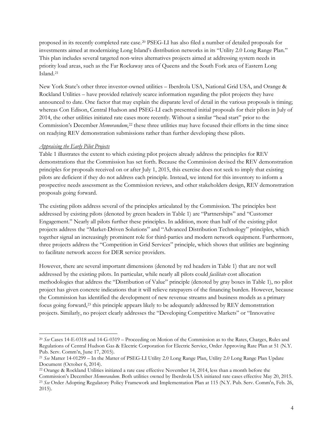proposed in its recently completed rate case.[20](#page-4-0) PSEG-LI has also filed a number of detailed proposals for investments aimed at modernizing Long Island's distribution networks in its "Utility 2.0 Long Range Plan." This plan includes several targeted non-wires alternatives projects aimed at addressing system needs in priority load areas, such as the Far Rockaway area of Queens and the South Fork area of Eastern Long Island.[21](#page-4-1)

New York State's other three investor-owned utilities – Iberdrola USA, National Grid USA, and Orange & Rockland Utilities – have provided relatively scarce information regarding the pilot projects they have announced to date. One factor that may explain the disparate level of detail in the various proposals is timing; whereas Con Edison, Central Hudson and PSEG-LI each presented initial proposals for their pilots in July of 2014, the other utilities initiated rate cases more recently. Without a similar "head start" prior to the Commission's December *Memorandum*,<sup>[22](#page-4-2)</sup> these three utilities may have focused their efforts in the time since on readying REV demonstration submissions rather than further developing these pilots.

# *Appraising the Early Pilot Projects*

[Table 1](#page-6-0) illustrates the extent to which existing pilot projects already address the principles for REV demonstrations that the Commission has set forth. Because the Commission devised the REV demonstration principles for proposals received on or after July 1, 2015, this exercise does not seek to imply that existing pilots are deficient if they do not address each principle. Instead, we intend for this inventory to inform a prospective needs assessment as the Commission reviews, and other stakeholders design, REV demonstration proposals going forward.

The existing pilots address several of the principles articulated by the Commission. The principles best addressed by existing pilots (denoted by green headers i[n Table 1\)](#page-6-0) are "Partnerships" and "Customer Engagement." Nearly all pilots further these principles. In addition, more than half of the existing pilot projects address the "Market-Driven Solutions" and "Advanced Distribution Technology" principles, which together signal an increasingly prominent role for third-parties and modern network equipment. Furthermore, three projects address the "Competition in Grid Services" principle, which shows that utilities are beginning to facilitate network access for DER service providers.

However, there are several important dimensions (denoted by red headers in [Table 1\)](#page-6-0) that are not well addressed by the existing pilots. In particular, while nearly all pilots could *facilitate* cost allocation methodologies that address the "Distribution of Value" principle (denoted by gray boxes in [Table 1\)](#page-6-0), no pilot project has given concrete indications that it will relieve ratepayers of the financing burden. However, because the Commission has identified the development of new revenue streams and business models as a primary focus going forward,[23](#page-4-3) this principle appears likely to be adequately addressed by REV demonstration projects. Similarly, no project clearly addresses the "Developing Competitive Markets" or "Innovative

<span id="page-4-0"></span><sup>20</sup> *See* Cases 14-E-0318 and 14-G-0319 – Proceeding on Motion of the Commission as to the Rates, Charges, Rules and Regulations of Central Hudson Gas & Electric Corporation for Electric Service, Order Approving Rate Plan at 51 (N.Y. Pub. Serv. Comm'n, June 17, 2015).  $\overline{a}$ 

<span id="page-4-1"></span><sup>21</sup> *See* Matter 14-01299 – In the Matter of PSEG-LI Utility 2.0 Long Range Plan, Utility 2.0 Long Range Plan Update Document (October 6, 2014).

<span id="page-4-3"></span><span id="page-4-2"></span><sup>22</sup> Orange & Rockland Utilities initiated a rate case effective November 14, 2014, less than a month before the Commission's December *Memorandum*. Both utilities owned by Iberdrola USA initiated rate cases effective May 20, 2015. <sup>23</sup> *See* Order Adopting Regulatory Policy Framework and Implementation Plan at 115 (N.Y. Pub. Serv. Comm'n, Feb. 26, 2015).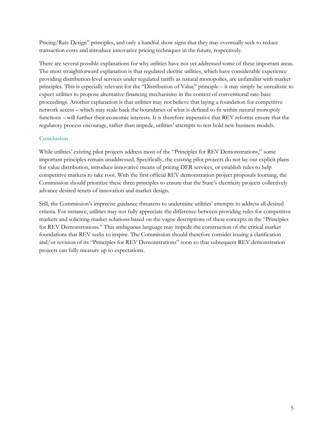Pricing/Rate Design" principles, and only a handful show signs that they may eventually seek to reduce transaction costs and introduce innovative pricing techniques in the future, respectively.

There are several possible explanations for why utilities have not yet addressed some of these important areas. The most straightforward explanation is that regulated electric utilities, which have considerable experience providing distribution-level services under regulated tariffs as natural monopolies, are unfamiliar with market principles. This is especially relevant for the "Distribution of Value" principle – it may simply be unrealistic to expect utilities to propose alternative financing mechanisms in the context of conventional rate-base proceedings. Another explanation is that utilities may not believe that laying a foundation for competitive network access – which may scale back the boundaries of what is defined to fit within natural monopoly functions – will further their economic interests. It is therefore imperative that REV reforms ensure that the regulatory process encourage, rather than impede, utilities' attempts to test bold new business models.

# **Conclusion**

While utilities' existing pilot projects address most of the "Principles for REV Demonstrations," some important principles remain unaddressed. Specifically, the existing pilot projects do not lay out explicit plans for value distribution, introduce innovative means of pricing DER services, or establish rules to help competitive markets to take root. With the first official REV demonstration project proposals looming, the Commission should prioritize these three principles to ensure that the State's electricity projects collectively advance desired tenets of innovation and market design.

Still, the Commission's imprecise guidance threatens to undermine utilities' attempts to address all desired criteria. For instance, utilities may not fully appreciate the difference between providing rules for competitive markets and soliciting market solutions based on the vague descriptions of these concepts in the "Principles for REV Demonstrations." This ambiguous language may impede the construction of the critical market foundations that REV seeks to inspire. The Commission should therefore consider issuing a clarification and/or revision of its "Principles for REV Demonstrations" soon so that subsequent REV demonstration projects can fully measure up to expectations.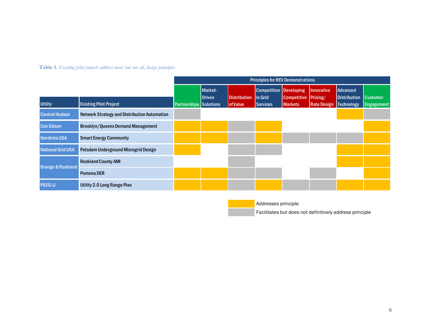# **Table 1.** *Existing pilot projects address most, but not all, design principles*

<span id="page-6-0"></span>

|                              |                                                     | <b>Principles for REV Demonstrations</b> |                   |                     |                                                  |                      |                    |                                 |                   |
|------------------------------|-----------------------------------------------------|------------------------------------------|-------------------|---------------------|--------------------------------------------------|----------------------|--------------------|---------------------------------|-------------------|
|                              |                                                     |                                          | Market-<br>Driven | <b>Distribution</b> | <b>Competition Developing</b><br><b>lin Grid</b> | Competitive Pricing/ | Innovative         | Advanced<br><b>Distribution</b> | <b>Customer</b>   |
| <b>Utility</b>               | <b>Existing Pilot Project</b>                       | Partnerships Solutions                   |                   | <b>of Value</b>     | Services                                         | Markets              | <b>Rate Design</b> | Technology                      | <b>Engagement</b> |
| <b>Central Hudson</b>        | <b>Network Strategy and Distribution Automation</b> |                                          |                   |                     |                                                  |                      |                    |                                 |                   |
| <b>Con Edison</b>            | <b>Brooklyn/Queens Demand Management</b>            |                                          |                   |                     |                                                  |                      |                    |                                 |                   |
| <b>Iberdrola USA</b>         | <b>Smart Energy Community</b>                       |                                          |                   |                     |                                                  |                      |                    |                                 |                   |
| <b>National Grid USA</b>     | Potsdam Underground Microgrid Design                |                                          |                   |                     |                                                  |                      |                    |                                 |                   |
| <b>Orange &amp; Rockland</b> | <b>Rockland County AMI</b>                          |                                          |                   |                     |                                                  |                      |                    |                                 |                   |
|                              | <b>Pomona DER</b>                                   |                                          |                   |                     |                                                  |                      |                    |                                 |                   |
| <b>PSEG-LI</b>               | <b>Utility 2.0 Long Range Plan</b>                  |                                          |                   |                     |                                                  |                      |                    |                                 |                   |

Addresses principle

Facilitates but does not definitively address principle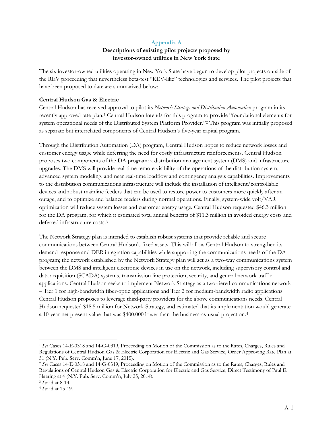#### **Appendix A**

# **Descriptions of existing pilot projects proposed by investor-owned utilities in New York State**

<span id="page-7-0"></span>The six investor-owned utilities operating in New York State have begun to develop pilot projects outside of the REV proceeding that nevertheless beta-test "REV-like" technologies and services. The pilot projects that have been proposed to date are summarized below:

#### **Central Hudson Gas & Electric**

Central Hudson has received approval to pilot its *Network Strategy and Distribution Automation* program in its recently approved rate plan.[1](#page-7-1) Central Hudson intends for this program to provide "foundational elements for system operational needs of the Distributed System Platform Provider."[2](#page-7-2) This program was initially proposed as separate but interrelated components of Central Hudson's five-year capital program.

Through the Distribution Automation (DA) program, Central Hudson hopes to reduce network losses and customer energy usage while deferring the need for costly infrastructure reinforcements. Central Hudson proposes two components of the DA program: a distribution management system (DMS) and infrastructure upgrades. The DMS will provide real-time remote visibility of the operations of the distribution system, advanced system modeling, and near real-time loadflow and contingency analysis capabilities. Improvements to the distribution communications infrastructure will include the installation of intelligent/controllable devices and robust mainline feeders that can be used to restore power to customers more quickly after an outage, and to optimize and balance feeders during normal operations. Finally, system-wide volt/VAR optimization will reduce system losses and customer energy usage. Central Hudson requested \$46.3 million for the DA program, for which it estimated total annual benefits of \$11.3 million in avoided energy costs and deferred infrastructure costs.[3](#page-7-3)

The Network Strategy plan is intended to establish robust systems that provide reliable and secure communications between Central Hudson's fixed assets. This will allow Central Hudson to strengthen its demand response and DER integration capabilities while supporting the communications needs of the DA program; the network established by the Network Strategy plan will act as a two-way communications system between the DMS and intelligent electronic devices in use on the network, including supervisory control and data acquisition (SCADA) systems, transmission line protection, security, and general network traffic applications. Central Hudson seeks to implement Network Strategy as a two-tiered communications network – Tier 1 for high-bandwidth fiber-optic applications and Tier 2 for medium-bandwidth radio applications. Central Hudson proposes to leverage third-party providers for the above communications needs. Central Hudson requested \$18.5 million for Network Strategy, and estimated that its implementation would generate a 10-year net present value that was \$400,000 lower than the business-as-usual projection.[4](#page-7-4)

<span id="page-7-1"></span><sup>1</sup> *See* Cases 14-E-0318 and 14-G-0319, Proceeding on Motion of the Commission as to the Rates, Charges, Rules and Regulations of Central Hudson Gas & Electric Corporation for Electric and Gas Service, Order Approving Rate Plan at 51 (N.Y. Pub. Serv. Comm'n, June 17, 2015).

<span id="page-7-2"></span><sup>2</sup> *See* Cases 14-E-0318 and 14-G-0319, Proceeding on Motion of the Commission as to the Rates, Charges, Rules and Regulations of Central Hudson Gas & Electric Corporation for Electric and Gas Service, Direct Testimony of Paul E. Haering at 4 (N.Y. Pub. Serv. Comm'n, July 25, 2014).

<span id="page-7-3"></span><sup>3</sup> *See* id at 8-14.

<span id="page-7-4"></span><sup>4</sup> *See* id at 15-19.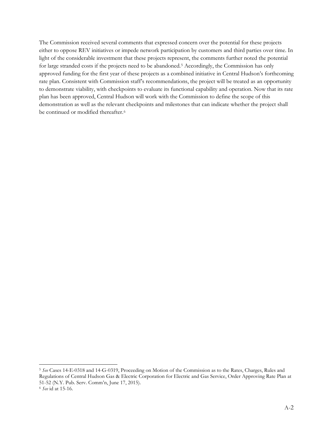The Commission received several comments that expressed concern over the potential for these projects either to oppose REV initiatives or impede network participation by customers and third parties over time. In light of the considerable investment that these projects represent, the comments further noted the potential for large stranded costs if the projects need to be abandoned.<sup>[5](#page-8-0)</sup> Accordingly, the Commission has only approved funding for the first year of these projects as a combined initiative in Central Hudson's forthcoming rate plan. Consistent with Commission staff's recommendations, the project will be treated as an opportunity to demonstrate viability, with checkpoints to evaluate its functional capability and operation. Now that its rate plan has been approved, Central Hudson will work with the Commission to define the scope of this demonstration as well as the relevant checkpoints and milestones that can indicate whether the project shall be continued or modified thereafter.<sup>[6](#page-8-1)</sup>

<span id="page-8-1"></span><span id="page-8-0"></span><sup>5</sup> *See* Cases 14-E-0318 and 14-G-0319, Proceeding on Motion of the Commission as to the Rates, Charges, Rules and Regulations of Central Hudson Gas & Electric Corporation for Electric and Gas Service, Order Approving Rate Plan at 51-52 (N.Y. Pub. Serv. Comm'n, June 17, 2015). <sup>6</sup> *See* id at 15-16.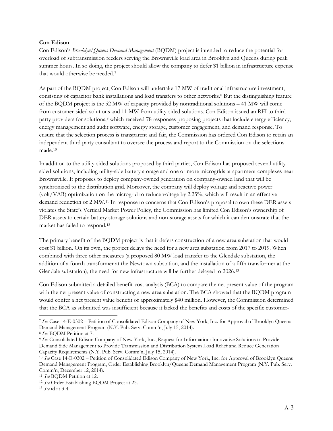#### **Con Edison**

Con Edison's *Brooklyn/Queens Demand Management* (BQDM) project is intended to reduce the potential for overload of subtransmission feeders serving the Brownsville load area in Brooklyn and Queens during peak summer hours. In so doing, the project should allow the company to defer \$1 billion in infrastructure expense that would otherwise be needed[.7](#page-9-0)

As part of the BQDM project, Con Edison will undertake 17 MW of traditional infrastructure investment, consisting of capacitor bank installations and load transfers to other networks.[8](#page-9-1) But the distinguishing feature of the BQDM project is the 52 MW of capacity provided by nontraditional solutions – 41 MW will come from customer-sided solutions and 11 MW from utility-sided solutions. Con Edison issued an RFI to third-party providers for solutions,<sup>[9](#page-9-2)</sup> which received 78 responses proposing projects that include energy efficiency, energy management and audit software, energy storage, customer engagement, and demand response. To ensure that the selection process is transparent and fair, the Commission has ordered Con Edison to retain an independent third party consultant to oversee the process and report to the Commission on the selections made.[10](#page-9-3)

In addition to the utility-sided solutions proposed by third parties, Con Edison has proposed several utilitysided solutions, including utility-side battery storage and one or more microgrids at apartment complexes near Brownsville. It proposes to deploy company-owned generation on company-owned land that will be synchronized to the distribution grid. Moreover, the company will deploy voltage and reactive power (volt/VAR) optimization on the microgrid to reduce voltage by 2.25%, which will result in an effective demand reduction of 2 MW.[11](#page-9-4) In response to concerns that Con Edison's proposal to own these DER assets violates the State's Vertical Market Power Policy, the Commission has limited Con Edison's ownership of DER assets to certain battery storage solutions and non-storage assets for which it can demonstrate that the market has failed to respond.[12](#page-9-5)

The primary benefit of the BQDM project is that it defers construction of a new area substation that would cost \$1 billion. On its own, the project delays the need for a new area substation from 2017 to 2019. When combined with three other measures (a proposed 80 MW load transfer to the Glendale substation, the addition of a fourth transformer at the Newtown substation, and the installation of a fifth transformer at the Glendale substation), the need for new infrastructure will be further delayed to 2026.[13](#page-9-6)

Con Edison submitted a detailed benefit-cost analysis (BCA) to compare the net present value of the program with the net present value of constructing a new area substation. The BCA showed that the BQDM program would confer a net present value benefit of approximately \$40 million. However, the Commission determined that the BCA as submitted was insufficient because it lacked the benefits and costs of the specific customer-

<span id="page-9-0"></span><sup>7</sup> *See* Case 14-E-0302 – Petition of Consolidated Edison Company of New York, Inc. for Approval of Brooklyn Queens Demand Management Program (N.Y. Pub. Serv. Comm'n, July 15, 2014).  $\overline{a}$ 

<span id="page-9-1"></span><sup>8</sup> *See* BQDM Petition at 7.

<span id="page-9-2"></span><sup>9</sup> *See* Consolidated Edison Company of New York, Inc., Request for Information: Innovative Solutions to Provide Demand Side Management to Provide Transmission and Distribution System Load Relief and Reduce Generation Capacity Requirements (N.Y. Pub. Serv. Comm'n, July 15, 2014).

<span id="page-9-3"></span><sup>10</sup> *See* Case 14-E-0302 – Petition of Consolidated Edison Company of New York, Inc. for Approval of Brooklyn Queens Demand Management Program, Order Establishing Brooklyn/Queens Demand Management Program (N.Y. Pub. Serv. Comm'n, December 12, 2014).

<span id="page-9-4"></span><sup>11</sup> *See* BQDM Petition at 12.

<span id="page-9-5"></span><sup>12</sup> *See* Order Establishing BQDM Project at 23.

<span id="page-9-6"></span><sup>13</sup> *See* id at 3-4.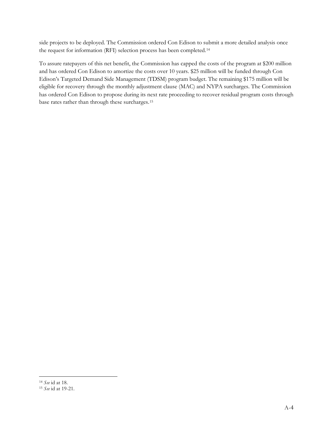side projects to be deployed. The Commission ordered Con Edison to submit a more detailed analysis once the request for information (RFI) selection process has been completed.[14](#page-10-0)

To assure ratepayers of this net benefit, the Commission has capped the costs of the program at \$200 million and has ordered Con Edison to amortize the costs over 10 years. \$25 million will be funded through Con Edison's Targeted Demand Side Management (TDSM) program budget. The remaining \$175 million will be eligible for recovery through the monthly adjustment clause (MAC) and NYPA surcharges. The Commission has ordered Con Edison to propose during its next rate proceeding to recover residual program costs through base rates rather than through these surcharges.[15](#page-10-1)

<span id="page-10-0"></span><sup>14</sup> *See* id at 18.

<span id="page-10-1"></span><sup>15</sup> *See* id at 19-21.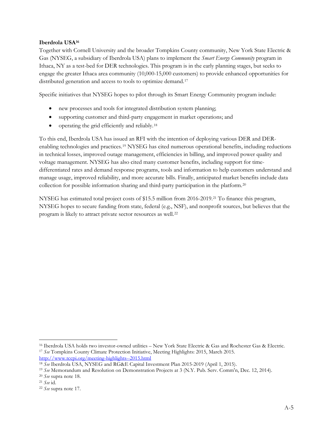# **Iberdrola USA[16](#page-11-2)**

Together with Cornell University and the broader Tompkins County community, New York State Electric & Gas (NYSEG, a subsidiary of Iberdrola USA) plans to implement the *Smart Energy Community* program in Ithaca, NY as a test-bed for DER technologies. This program is in the early planning stages, but seeks to engage the greater Ithaca area community (10,000-15,000 customers) to provide enhanced opportunities for distributed generation and access to tools to optimize demand.<sup>[17](#page-11-3)</sup>

Specific initiatives that NYSEG hopes to pilot through its Smart Energy Community program include:

- <span id="page-11-1"></span>• new processes and tools for integrated distribution system planning;
- supporting customer and third-party engagement in market operations; and
- <span id="page-11-0"></span>• operating the grid efficiently and reliably.<sup>[18](#page-11-4)</sup>

To this end, Iberdrola USA has issued an RFI with the intention of deploying various DER and DERenabling technologies and practices.[19](#page-11-5) NYSEG has cited numerous operational benefits, including reductions in technical losses, improved outage management, efficiencies in billing, and improved power quality and voltage management. NYSEG has also cited many customer benefits, including support for timedifferentiated rates and demand response programs, tools and information to help customers understand and manage usage, improved reliability, and more accurate bills. Finally, anticipated market benefits include data collection for possible information sharing and third-party participation in the platform.[20](#page-11-6)

NYSEG has estimated total project costs of \$15.5 million from 2016-2019.[21](#page-11-7) To finance this program, NYSEG hopes to secure funding from state, federal (e.g., NSF), and nonprofit sources, but believes that the program is likely to attract private sector resources as well.[22](#page-11-8)

<span id="page-11-3"></span><span id="page-11-2"></span><sup>16</sup> Iberdrola USA holds two investor-owned utilities – New York State Electric & Gas and Rochester Gas & Electric. <sup>17</sup> *See* Tompkins County Climate Protection Initiative, Meeting Highlights: 2015, March 2015. <http://www.tccpi.org/meeting-highlights--2015.html>

<span id="page-11-4"></span><sup>18</sup> *See* Iberdrola USA, NYSEG and RG&E Capital Investment Plan 2015-2019 (April 1, 2015).

<span id="page-11-5"></span><sup>19</sup> *See* Memorandum and Resolution on Demonstration Projects at 3 (N.Y. Pub. Serv. Comm'n, Dec. 12, 2014).

<span id="page-11-6"></span><sup>20</sup> *See* supra note [18.](#page-11-0)

<span id="page-11-7"></span><sup>21</sup> *See* id.

<span id="page-11-8"></span><sup>22</sup> *See* supra note [17.](#page-11-1)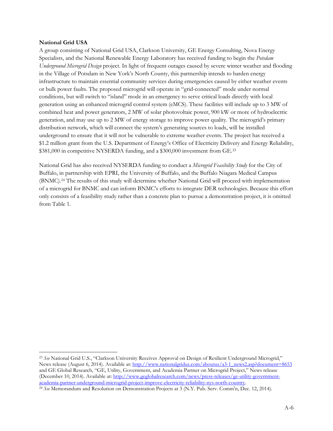#### **National Grid USA**

 $\overline{a}$ 

A group consisting of National Grid USA, Clarkson University, GE Energy Consulting, Nova Energy Specialists, and the National Renewable Energy Laboratory has received funding to begin the *Potsdam Underground Microgrid Design* project. In light of frequent outages caused by severe winter weather and flooding in the Village of Potsdam in New York's North County, this partnership intends to harden energy infrastructure to maintain essential community services during emergencies caused by either weather events or bulk power faults. The proposed microgrid will operate in "grid-connected" mode under normal conditions, but will switch to "island" mode in an emergency to serve critical loads directly with local generation using an enhanced microgrid control system (eMCS). These facilities will include up to 3 MW of combined heat and power generators, 2 MW of solar photovoltaic power, 900 kW or more of hydroelectric generation, and may use up to 2 MW of energy storage to improve power quality. The microgrid's primary distribution network, which will connect the system's generating sources to loads, will be installed underground to ensure that it will not be vulnerable to extreme weather events. The project has received a \$1.2 million grant from the U.S. Department of Energy's Office of Electricity Delivery and Energy Reliability, \$381,000 in competitive NYSERDA funding, and a \$300,000 investment from GE.<sup>[23](#page-12-0)</sup>

National Grid has also received NYSERDA funding to conduct a *Microgrid Feasibility Study* for the City of Buffalo, in partnership with EPRI, the University of Buffalo, and the Buffalo Niagara Medical Campus (BNMC).[24](#page-12-1) The results of this study will determine whether National Grid will proceed with implementation of a microgrid for BNMC and can inform BNMC's efforts to integrate DER technologies. Because this effort only consists of a feasibility study rather than a concrete plan to pursue a demonstration project, it is omitted from [Table 1.](#page-6-0)

<span id="page-12-0"></span><sup>23</sup> *See* National Grid U.S., "Clarkson University Receives Approval on Design of Resilient Underground Microgrid," News release (August 6, 2014). Available at[: http://www.nationalgridus.com/aboutus/a3-1\\_news2.asp?document=8653](http://www.nationalgridus.com/aboutus/a3-1_news2.asp?document=8653) and GE Global Research, "GE, Utility, Government, and Academia Partner on Microgrid Project," News release (December 10, 2014). Available at: [http://www.geglobalresearch.com/news/press-releases/ge-utility-government](http://www.geglobalresearch.com/news/press-releases/ge-utility-government-academia-partner-underground-microgrid-project-improve-electricity-reliability-nys-north-country)[academia-partner-underground-microgrid-project-improve-electricity-reliability-nys-north-country.](http://www.geglobalresearch.com/news/press-releases/ge-utility-government-academia-partner-underground-microgrid-project-improve-electricity-reliability-nys-north-country)

<span id="page-12-1"></span><sup>24</sup> *See* Memorandum and Resolution on Demonstration Projects at 3 (N.Y. Pub. Serv. Comm'n, Dec. 12, 2014).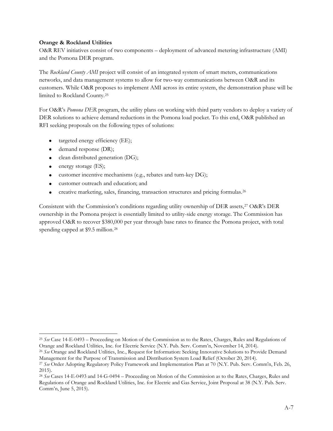# **Orange & Rockland Utilities**

O&R REV initiatives consist of two components – deployment of advanced metering infrastructure (AMI) and the Pomona DER program.

The *Rockland County AMI* project will consist of an integrated system of smart meters, communications networks, and data management systems to allow for two-way communications between O&R and its customers. While O&R proposes to implement AMI across its entire system, the demonstration phase will be limited to Rockland County.[25](#page-13-0)

For O&R's *Pomona DER* program, the utility plans on working with third party vendors to deploy a variety of DER solutions to achieve demand reductions in the Pomona load pocket. To this end, O&R published an RFI seeking proposals on the following types of solutions:

- targeted energy efficiency (EE);
- demand response (DR);
- clean distributed generation (DG);
- energy storage (ES);

 $\overline{a}$ 

- customer incentive mechanisms (e.g., rebates and turn-key DG);
- customer outreach and education; and
- creative marketing, sales, financing, transaction structures and pricing formulas.[26](#page-13-1)

Consistent with the Commission's conditions regarding utility ownership of DER assets,[27](#page-13-2) O&R's DER ownership in the Pomona project is essentially limited to utility-side energy storage. The Commission has approved O&R to recover \$380,000 per year through base rates to finance the Pomona project, with total spending capped at \$9.5 million.[28](#page-13-3)

<span id="page-13-0"></span><sup>25</sup> *See* Case 14-E-0493 – Proceeding on Motion of the Commission as to the Rates, Charges, Rules and Regulations of Orange and Rockland Utilities, Inc. for Electric Service (N.Y. Pub. Serv. Comm'n, November 14, 2014).

<span id="page-13-1"></span><sup>26</sup> *See* Orange and Rockland Utilities, Inc., Request for Information: Seeking Innovative Solutions to Provide Demand Management for the Purpose of Transmission and Distribution System Load Relief (October 20, 2014).

<span id="page-13-2"></span><sup>27</sup> *See* Order Adopting Regulatory Policy Framework and Implementation Plan at 70 (N.Y. Pub. Serv. Comm'n, Feb. 26, 2015).

<span id="page-13-3"></span><sup>28</sup> *See* Cases 14-E-0493 and 14-G-0494 – Proceeding on Motion of the Commission as to the Rates, Charges, Rules and Regulations of Orange and Rockland Utilities, Inc. for Electric and Gas Service, Joint Proposal at 38 (N.Y. Pub. Serv. Comm'n, June 5, 2015).